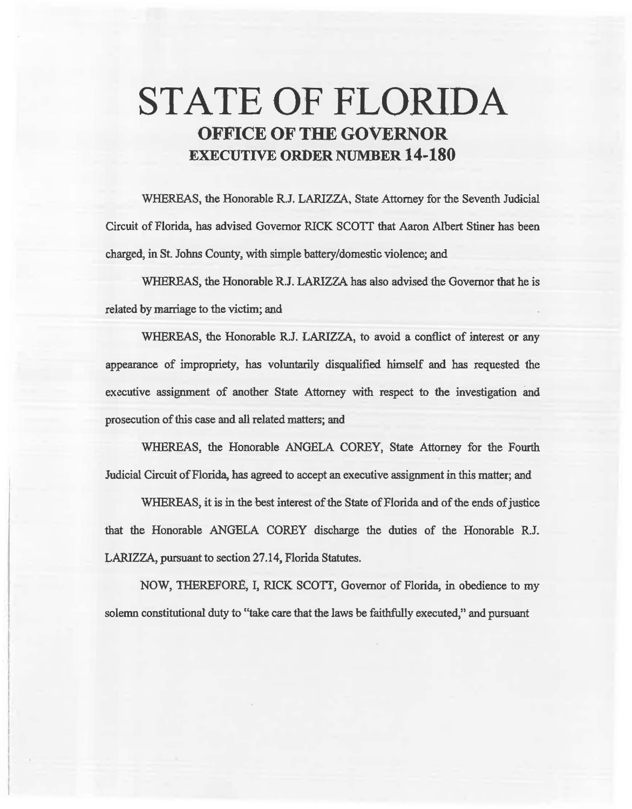# STATE OF FLORIDA **OFFICE OF THE GOVERNOR EXECUTIVE ORDER NUMBER 14-180**

WHEREAS, the Honorable R.J. LARIZZA, State Attorney for the Seventh Judicial Circuit of Florida, has advised Governor RICK SCOIT that Aaron. Albert Stiner has been charged, in St. Johns County, with simple battery/domestic violence; and

WHEREAS, the Honorable R.J. LARIZZA has also advised the Governor that he is related by marriage to the victim; and

WHEREAS, the Honorable R.J. LARIZZA, to avoid a conflict of interest or any appearance of impropriety, has voluntarily disqualified himself and has requested the executive assignment of another State Attorney with respect to the investigation and prosecution of this case and all related matters; and

WHEREAS, the Honorable ANGELA COREY, State Attorney for the Fourth Judicial Circuit of Florida, has agreed to accept an executive assignment in this matter; and

WHEREAS, it is in the best interest of the State of Florida and of the ends of justice that the Honorable ANGELA COREY discharge the duties of the Honorable R.J. LARIZZA, pursuant to section 27 .14, Florida Statutes.

NOW, THEREFORE, I, RICK SCOTI, Governor of Florida, in obedience to my solemn constitutional duty to "take care that the laws be faithfully executed,'' and pursuant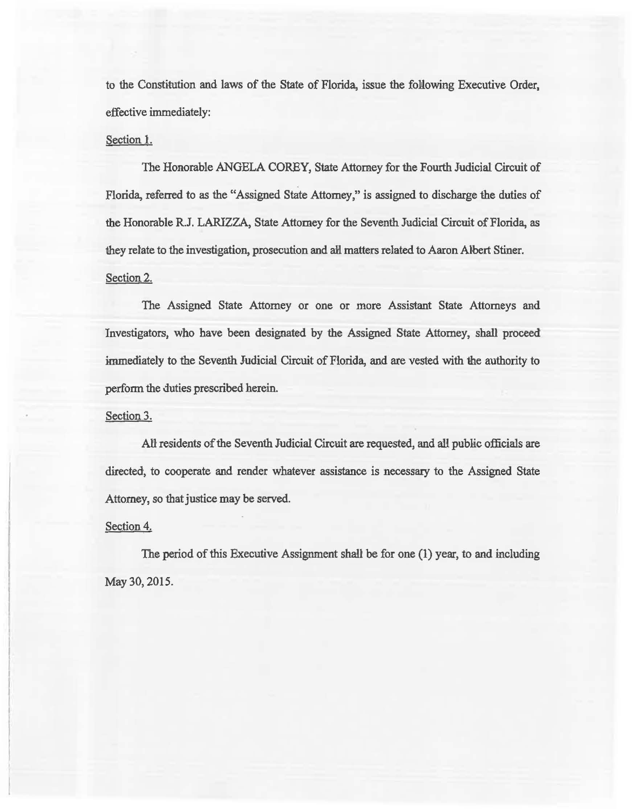to the Constitution and laws of the State of Florida, issue the folowing Executive Order, effective immediately:

### Section l.

The Honorable ANGELA COREY, State Attorney for the Fourth Judicial Circuit of Florida, referred to as the "Assigned State Attorney," is assigned to discharge the duties of the Honorable R.J. LARIZZA, State Attomey for the Seventh Judicial Circuit of Florida, as they relate to the investigation, prosecution and all matters related to Aaron Albert Stiner. Section 2.

The Assigned State Attomey or one or more Assistant State Attorneys and Investigators, who have been designated by the Assigned State Attorney, shall proceed immediately to the Seventh Judicial Circuit of Florida, and are vested with the authority to perform the duties prescribed herein.

#### Section 3.

All residents of the Seventh Judicial Circuit are requested, and all public officials are directed, to cooperate and render whatever assistance is necessary to the Assigned State Attorney, so that justice may be served.

#### Section 4.

The period of this Executive Assignment shall be for one (1) year, to and including May 30, 2015.